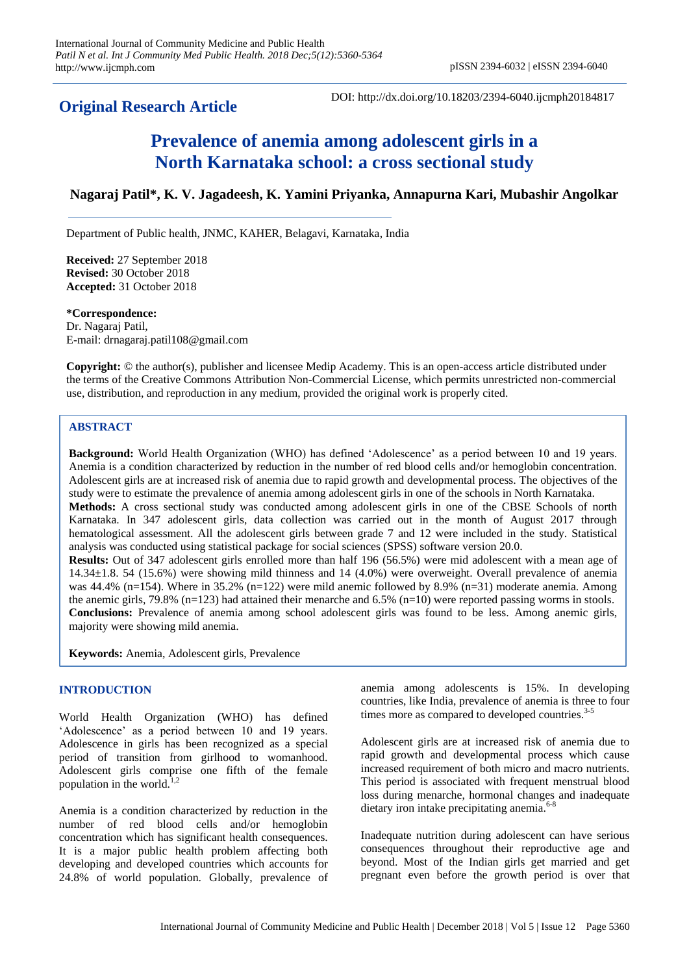# **Original Research Article**

DOI: http://dx.doi.org/10.18203/2394-6040.ijcmph20184817

# **Prevalence of anemia among adolescent girls in a North Karnataka school: a cross sectional study**

**Nagaraj Patil\*, K. V. Jagadeesh, K. Yamini Priyanka, Annapurna Kari, Mubashir Angolkar**

Department of Public health, JNMC, KAHER, Belagavi, Karnataka, India

**Received:** 27 September 2018 **Revised:** 30 October 2018 **Accepted:** 31 October 2018

**\*Correspondence:** Dr. Nagaraj Patil, E-mail: drnagaraj.patil108@gmail.com

**Copyright:** © the author(s), publisher and licensee Medip Academy. This is an open-access article distributed under the terms of the Creative Commons Attribution Non-Commercial License, which permits unrestricted non-commercial use, distribution, and reproduction in any medium, provided the original work is properly cited.

# **ABSTRACT**

**Background:** World Health Organization (WHO) has defined 'Adolescence' as a period between 10 and 19 years. Anemia is a condition characterized by reduction in the number of red blood cells and/or hemoglobin concentration. Adolescent girls are at increased risk of anemia due to rapid growth and developmental process. The objectives of the study were to estimate the prevalence of anemia among adolescent girls in one of the schools in North Karnataka. **Methods:** A cross sectional study was conducted among adolescent girls in one of the CBSE Schools of north Karnataka. In 347 adolescent girls, data collection was carried out in the month of August 2017 through hematological assessment. All the adolescent girls between grade 7 and 12 were included in the study. Statistical analysis was conducted using statistical package for social sciences (SPSS) software version 20.0. **Results:** Out of 347 adolescent girls enrolled more than half 196 (56.5%) were mid adolescent with a mean age of 14.34±1.8. 54 (15.6%) were showing mild thinness and 14 (4.0%) were overweight. Overall prevalence of anemia was 44.4% (n=154). Where in 35.2% (n=122) were mild anemic followed by 8.9% (n=31) moderate anemia. Among the anemic girls, 79.8% (n=123) had attained their menarche and  $6.5\%$  (n=10) were reported passing worms in stools. **Conclusions:** Prevalence of anemia among school adolescent girls was found to be less. Among anemic girls, majority were showing mild anemia.

**Keywords:** Anemia, Adolescent girls, Prevalence

# **INTRODUCTION**

World Health Organization (WHO) has defined 'Adolescence' as a period between 10 and 19 years. Adolescence in girls has been recognized as a special period of transition from girlhood to womanhood. Adolescent girls comprise one fifth of the female population in the world. $1,2$ 

Anemia is a condition characterized by reduction in the number of red blood cells and/or hemoglobin concentration which has significant health consequences. It is a major public health problem affecting both developing and developed countries which accounts for 24.8% of world population. Globally, prevalence of anemia among adolescents is 15%. In developing countries, like India, prevalence of anemia is three to four times more as compared to developed countries. $3-5$ 

Adolescent girls are at increased risk of anemia due to rapid growth and developmental process which cause increased requirement of both micro and macro nutrients. This period is associated with frequent menstrual blood loss during menarche, hormonal changes and inadequate dietary iron intake precipitating anemia. $6-8$ 

Inadequate nutrition during adolescent can have serious consequences throughout their reproductive age and beyond. Most of the Indian girls get married and get pregnant even before the growth period is over that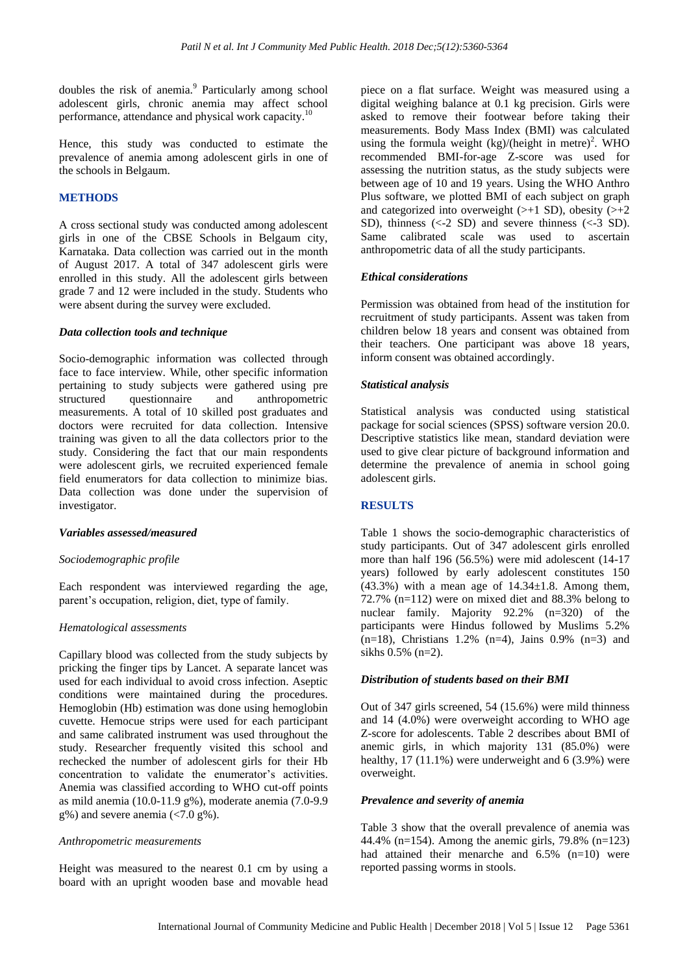doubles the risk of anemia.<sup>9</sup> Particularly among school adolescent girls, chronic anemia may affect school performance, attendance and physical work capacity.<sup>1</sup>

Hence, this study was conducted to estimate the prevalence of anemia among adolescent girls in one of the schools in Belgaum.

# **METHODS**

A cross sectional study was conducted among adolescent girls in one of the CBSE Schools in Belgaum city, Karnataka. Data collection was carried out in the month of August 2017. A total of 347 adolescent girls were enrolled in this study. All the adolescent girls between grade 7 and 12 were included in the study. Students who were absent during the survey were excluded.

#### *Data collection tools and technique*

Socio-demographic information was collected through face to face interview. While, other specific information pertaining to study subjects were gathered using pre structured questionnaire and anthropometric measurements. A total of 10 skilled post graduates and doctors were recruited for data collection. Intensive training was given to all the data collectors prior to the study. Considering the fact that our main respondents were adolescent girls, we recruited experienced female field enumerators for data collection to minimize bias. Data collection was done under the supervision of investigator.

#### *Variables assessed/measured*

#### *Sociodemographic profile*

Each respondent was interviewed regarding the age, parent's occupation, religion, diet, type of family.

#### *Hematological assessments*

Capillary blood was collected from the study subjects by pricking the finger tips by Lancet. A separate lancet was used for each individual to avoid cross infection. Aseptic conditions were maintained during the procedures. Hemoglobin (Hb) estimation was done using hemoglobin cuvette. Hemocue strips were used for each participant and same calibrated instrument was used throughout the study. Researcher frequently visited this school and rechecked the number of adolescent girls for their Hb concentration to validate the enumerator's activities. Anemia was classified according to WHO cut-off points as mild anemia (10.0-11.9 g%), moderate anemia (7.0-9.9  $g\%$ ) and severe anemia (<7.0  $g\%$ ).

#### *Anthropometric measurements*

Height was measured to the nearest 0.1 cm by using a board with an upright wooden base and movable head piece on a flat surface. Weight was measured using a digital weighing balance at 0.1 kg precision. Girls were asked to remove their footwear before taking their measurements. Body Mass Index (BMI) was calculated using the formula weight  $(kg)/(height in metre)^2$ . WHO recommended BMI-for-age Z-score was used for assessing the nutrition status, as the study subjects were between age of 10 and 19 years. Using the WHO Anthro Plus software, we plotted BMI of each subject on graph and categorized into overweight  $(\geq+1$  SD), obesity  $(\geq+2)$ SD), thinness  $( $-2$  SD)$  and severe thinness  $( $-3$  SD)$ . Same calibrated scale was used to ascertain anthropometric data of all the study participants.

#### *Ethical considerations*

Permission was obtained from head of the institution for recruitment of study participants. Assent was taken from children below 18 years and consent was obtained from their teachers. One participant was above 18 years, inform consent was obtained accordingly.

# *Statistical analysis*

Statistical analysis was conducted using statistical package for social sciences (SPSS) software version 20.0. Descriptive statistics like mean, standard deviation were used to give clear picture of background information and determine the prevalence of anemia in school going adolescent girls.

#### **RESULTS**

Table 1 shows the socio-demographic characteristics of study participants. Out of 347 adolescent girls enrolled more than half 196 (56.5%) were mid adolescent (14-17 years) followed by early adolescent constitutes 150  $(43.3\%)$  with a mean age of  $14.34\pm1.8$ . Among them, 72.7% (n=112) were on mixed diet and 88.3% belong to nuclear family. Majority 92.2% (n=320) of the participants were Hindus followed by Muslims 5.2%  $(n=18)$ , Christians 1.2%  $(n=4)$ , Jains 0.9%  $(n=3)$  and sikhs 0.5% (n=2).

# *Distribution of students based on their BMI*

Out of 347 girls screened, 54 (15.6%) were mild thinness and 14 (4.0%) were overweight according to WHO age Z-score for adolescents. Table 2 describes about BMI of anemic girls, in which majority 131 (85.0%) were healthy, 17 (11.1%) were underweight and 6 (3.9%) were overweight.

#### *Prevalence and severity of anemia*

Table 3 show that the overall prevalence of anemia was 44.4% (n=154). Among the anemic girls, 79.8% (n=123) had attained their menarche and 6.5% (n=10) were reported passing worms in stools.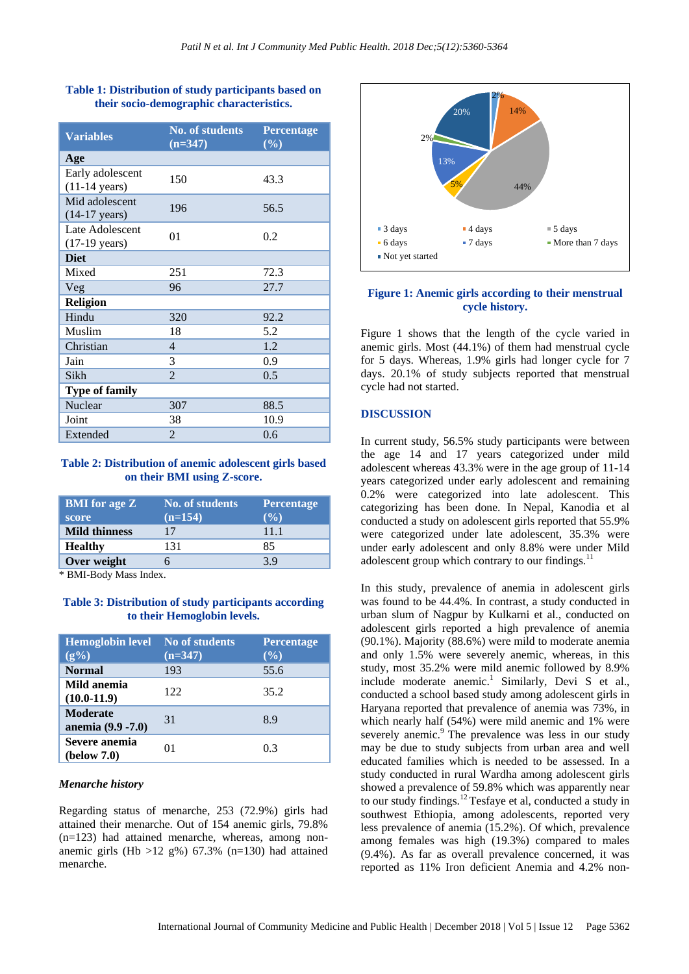| <b>Table 1: Distribution of study participants based on</b><br>their socio-demographic characteristics. |                        |            |
|---------------------------------------------------------------------------------------------------------|------------------------|------------|
| $\mathbf{X}^T = \mathbf{X}^T = \mathbf{X}^T$                                                            | <b>No. of students</b> | Percentage |

**Table 1: Distribution of study participants based on** 

| <b>Variables</b>                            | <b>No. of students</b><br>$(n=347)$ | Percentage<br>$($ %) |
|---------------------------------------------|-------------------------------------|----------------------|
| Age                                         |                                     |                      |
| Early adolescent<br>$(11-14 \text{ years})$ | 150                                 | 43.3                 |
| Mid adolescent<br>$(14-17 \text{ years})$   | 196                                 | 56.5                 |
| Late Adolescent<br>$(17-19 \text{ years})$  | 01                                  | 0.2                  |
| <b>Diet</b>                                 |                                     |                      |
| Mixed                                       | 251                                 | 72.3                 |
| Veg                                         | 96                                  | 27.7                 |
| <b>Religion</b>                             |                                     |                      |
| Hindu                                       | 320                                 | 92.2                 |
| Muslim                                      | 18                                  | 5.2                  |
| Christian                                   | 4                                   | 1.2                  |
| Jain                                        | 3                                   | 0.9                  |
| Sikh                                        | $\overline{2}$                      | 0.5                  |
| <b>Type of family</b>                       |                                     |                      |
| Nuclear                                     | 307                                 | 88.5                 |
| Joint                                       | 38                                  | 10.9                 |
| Extended                                    | $\overline{2}$                      | 0.6                  |

# **Table 2: Distribution of anemic adolescent girls based on their BMI using Z-score.**

| <b>BMI</b> for age <b>Z</b><br>score | <b>No. of students</b><br>$(n=154)$ | <b>Percentage</b><br>$($ %) |
|--------------------------------------|-------------------------------------|-----------------------------|
| <b>Mild thinness</b>                 | 17                                  | 11.1                        |
| <b>Healthy</b>                       | 131                                 | 85                          |
| Over weight                          |                                     | 39                          |

\* BMI-Body Mass Index.

# **Table 3: Distribution of study participants according to their Hemoglobin levels.**

| <b>Hemoglobin level</b><br>$(g\% )$   | <b>No of students</b><br>$(n=347)$ | <b>Percentage</b><br>(%) |
|---------------------------------------|------------------------------------|--------------------------|
| <b>Normal</b>                         | 193                                | 55.6                     |
| Mild anemia<br>$(10.0-11.9)$          | 122                                | 35.2                     |
| <b>Moderate</b><br>anemia (9.9 - 7.0) | 31                                 | 8.9                      |
| Severe anemia<br>(below 7.0)          | 01                                 | 0.3                      |

#### *Menarche history*

Regarding status of menarche, 253 (72.9%) girls had attained their menarche. Out of 154 anemic girls, 79.8%  $(n=123)$  had attained menarche, whereas, among nonanemic girls (Hb  $>12$  g%) 67.3% (n=130) had attained menarche.



# **Figure 1: Anemic girls according to their menstrual cycle history.**

Figure 1 shows that the length of the cycle varied in anemic girls. Most (44.1%) of them had menstrual cycle for 5 days. Whereas, 1.9% girls had longer cycle for 7 days. 20.1% of study subjects reported that menstrual cycle had not started.

# **DISCUSSION**

In current study, 56.5% study participants were between the age 14 and 17 years categorized under mild adolescent whereas 43.3% were in the age group of 11-14 years categorized under early adolescent and remaining 0.2% were categorized into late adolescent. This categorizing has been done. In Nepal, Kanodia et al conducted a study on adolescent girls reported that 55.9% were categorized under late adolescent, 35.3% were under early adolescent and only 8.8% were under Mild adolescent group which contrary to our findings. $^{11}$ 

In this study, prevalence of anemia in adolescent girls was found to be 44.4%. In contrast, a study conducted in urban slum of Nagpur by Kulkarni et al., conducted on adolescent girls reported a high prevalence of anemia (90.1%). Majority (88.6%) were mild to moderate anemia and only 1.5% were severely anemic, whereas, in this study, most 35.2% were mild anemic followed by 8.9% include moderate anemic.<sup>1</sup> Similarly, Devi S et al., conducted a school based study among adolescent girls in Haryana reported that prevalence of anemia was 73%, in which nearly half (54%) were mild anemic and 1% were severely anemic.<sup>9</sup> The prevalence was less in our study may be due to study subjects from urban area and well educated families which is needed to be assessed. In a study conducted in rural Wardha among adolescent girls showed a prevalence of 59.8% which was apparently near to our study findings.<sup>12</sup> Tesfaye et al, conducted a study in southwest Ethiopia, among adolescents, reported very less prevalence of anemia (15.2%). Of which, prevalence among females was high (19.3%) compared to males (9.4%). As far as overall prevalence concerned, it was reported as 11% Iron deficient Anemia and 4.2% non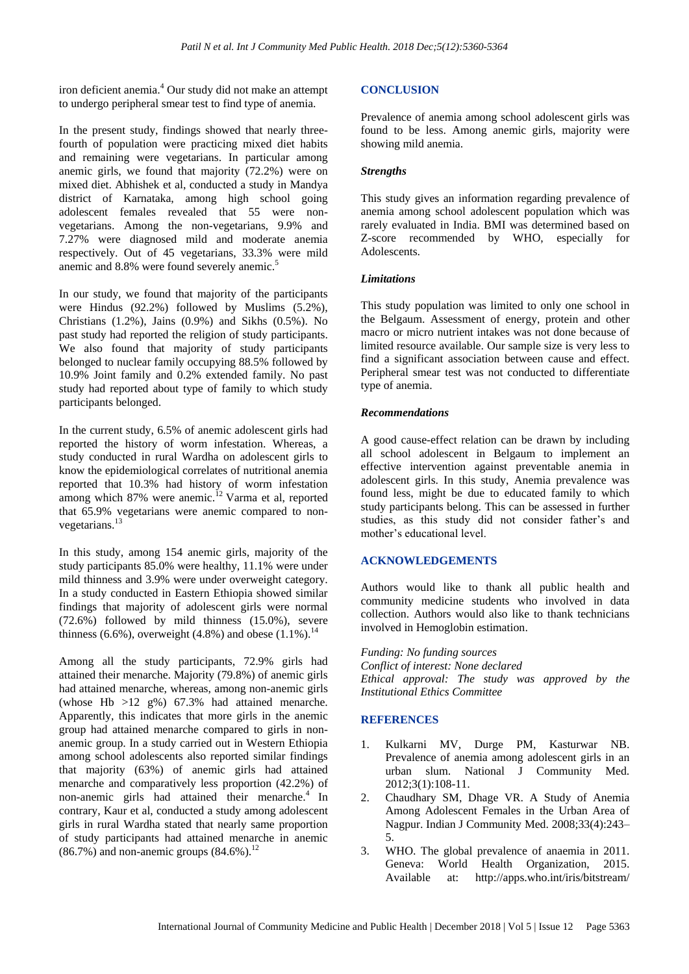iron deficient anemia.<sup>4</sup> Our study did not make an attempt to undergo peripheral smear test to find type of anemia.

In the present study, findings showed that nearly threefourth of population were practicing mixed diet habits and remaining were vegetarians. In particular among anemic girls, we found that majority (72.2%) were on mixed diet. Abhishek et al, conducted a study in Mandya district of Karnataka, among high school going adolescent females revealed that 55 were nonvegetarians. Among the non-vegetarians, 9.9% and 7.27% were diagnosed mild and moderate anemia respectively. Out of 45 vegetarians, 33.3% were mild anemic and 8.8% were found severely anemic.

In our study, we found that majority of the participants were Hindus (92.2%) followed by Muslims (5.2%), Christians (1.2%), Jains (0.9%) and Sikhs (0.5%). No past study had reported the religion of study participants. We also found that majority of study participants belonged to nuclear family occupying 88.5% followed by 10.9% Joint family and 0.2% extended family. No past study had reported about type of family to which study participants belonged.

In the current study, 6.5% of anemic adolescent girls had reported the history of worm infestation. Whereas, a study conducted in rural Wardha on adolescent girls to know the epidemiological correlates of nutritional anemia reported that 10.3% had history of worm infestation among which 87% were anemic.<sup>12</sup> Varma et al, reported that 65.9% vegetarians were anemic compared to nonvegetarians.<sup>13</sup>

In this study, among 154 anemic girls, majority of the study participants 85.0% were healthy, 11.1% were under mild thinness and 3.9% were under overweight category. In a study conducted in Eastern Ethiopia showed similar findings that majority of adolescent girls were normal (72.6%) followed by mild thinness (15.0%), severe thinness (6.6%), overweight (4.8%) and obese  $(1.1\%)$ .<sup>14</sup>

Among all the study participants, 72.9% girls had attained their menarche. Majority (79.8%) of anemic girls had attained menarche, whereas, among non-anemic girls (whose Hb  $>12$  g%) 67.3% had attained menarche. Apparently, this indicates that more girls in the anemic group had attained menarche compared to girls in nonanemic group. In a study carried out in Western Ethiopia among school adolescents also reported similar findings that majority (63%) of anemic girls had attained menarche and comparatively less proportion (42.2%) of non-anemic girls had attained their menarche.<sup>4</sup> In contrary, Kaur et al, conducted a study among adolescent girls in rural Wardha stated that nearly same proportion of study participants had attained menarche in anemic  $(86.7\%)$  and non-anemic groups  $(84.6\%)$ .<sup>12</sup>

# **CONCLUSION**

Prevalence of anemia among school adolescent girls was found to be less. Among anemic girls, majority were showing mild anemia.

# *Strengths*

This study gives an information regarding prevalence of anemia among school adolescent population which was rarely evaluated in India. BMI was determined based on Z-score recommended by WHO, especially for Adolescents.

# *Limitations*

This study population was limited to only one school in the Belgaum. Assessment of energy, protein and other macro or micro nutrient intakes was not done because of limited resource available. Our sample size is very less to find a significant association between cause and effect. Peripheral smear test was not conducted to differentiate type of anemia.

# *Recommendations*

A good cause-effect relation can be drawn by including all school adolescent in Belgaum to implement an effective intervention against preventable anemia in adolescent girls. In this study, Anemia prevalence was found less, might be due to educated family to which study participants belong. This can be assessed in further studies, as this study did not consider father's and mother's educational level.

# **ACKNOWLEDGEMENTS**

Authors would like to thank all public health and community medicine students who involved in data collection. Authors would also like to thank technicians involved in Hemoglobin estimation.

*Funding: No funding sources Conflict of interest: None declared Ethical approval: The study was approved by the Institutional Ethics Committee*

# **REFERENCES**

- 1. Kulkarni MV, Durge PM, Kasturwar NB. Prevalence of anemia among adolescent girls in an urban slum. National J Community Med. 2012;3(1):108-11.
- 2. Chaudhary SM, Dhage VR. A Study of Anemia Among Adolescent Females in the Urban Area of Nagpur. Indian J Community Med. 2008;33(4):243– 5.
- 3. WHO. The global prevalence of anaemia in 2011. Geneva: World Health Organization, 2015. Available at: http://apps.who.int/iris/bitstream/